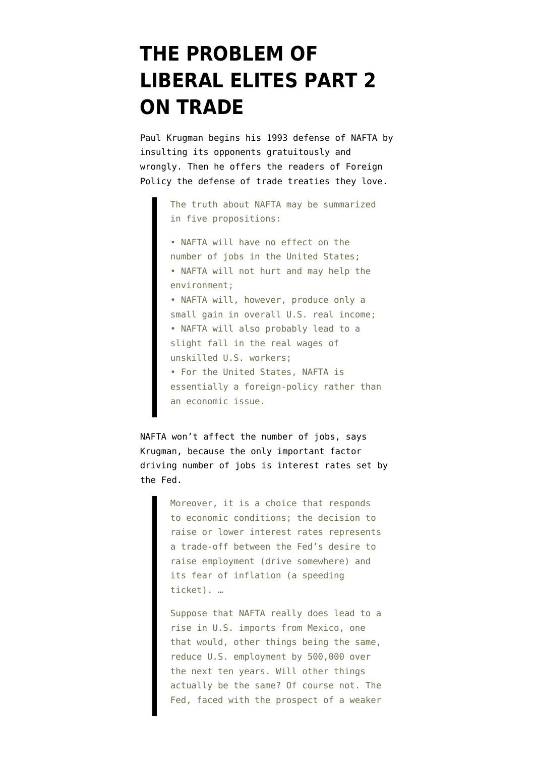## **[THE PROBLEM OF](https://www.emptywheel.net/2016/03/16/the-problem-of-liberal-elites-part-2-on-trade/) [LIBERAL ELITES PART 2](https://www.emptywheel.net/2016/03/16/the-problem-of-liberal-elites-part-2-on-trade/) [ON TRADE](https://www.emptywheel.net/2016/03/16/the-problem-of-liberal-elites-part-2-on-trade/)**

Paul Krugman begins his [1993 defense of NAFTA](https://www.foreignaffairs.com/articles/mexico/1993-12-01/uncomfortable-truth-about-nafta-its-foreign-policy-stupid) by insulting its opponents [gratuitously and](https://www.emptywheel.net/2016/03/14/the-problem-of-the-liberal-elites-part-1/) [wrongly.](https://www.emptywheel.net/2016/03/14/the-problem-of-the-liberal-elites-part-1/) Then he offers the readers of Foreign Policy the defense of trade treaties they love.

> The truth about NAFTA may be summarized in five propositions:

• NAFTA will have no effect on the number of jobs in the United States; • NAFTA will not hurt and may help the environment; • NAFTA will, however, produce only a small gain in overall U.S. real income; • NAFTA will also probably lead to a slight fall in the real wages of unskilled U.S. workers; • For the United States, NAFTA is essentially a foreign-policy rather than an economic issue.

NAFTA won't affect the number of jobs, says Krugman, because the only important factor driving number of jobs is interest rates set by the Fed.

> Moreover, it is a choice that responds to economic conditions; the decision to raise or lower interest rates represents a trade-off between the Fed's desire to raise employment (drive somewhere) and its fear of inflation (a speeding ticket). …

> Suppose that NAFTA really does lead to a rise in U.S. imports from Mexico, one that would, other things being the same, reduce U.S. employment by 500,000 over the next ten years. Will other things actually be the same? Of course not. The Fed, faced with the prospect of a weaker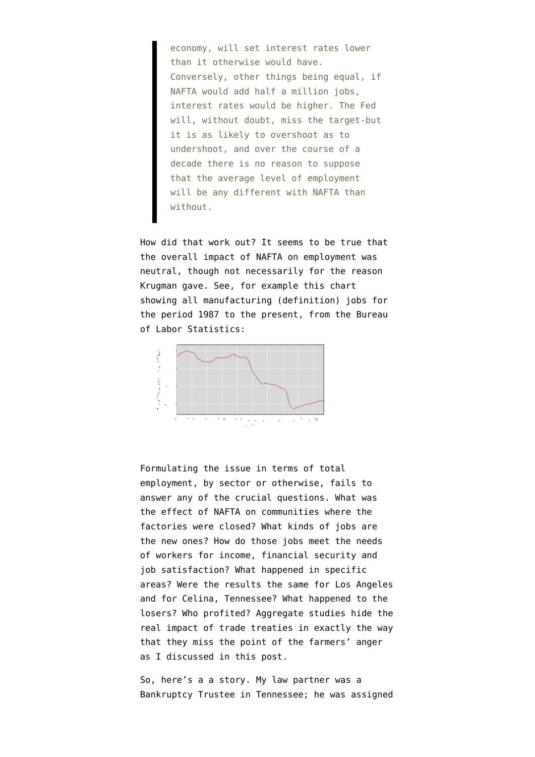economy, will set interest rates lower than it otherwise would have. Conversely, other things being equal, if NAFTA would add half a million jobs, interest rates would be higher. The Fed will, without doubt, miss the target-but it is as likely to overshoot as to undershoot, and over the course of a decade there is no reason to suppose that the average level of employment will be any different with NAFTA than without.

How did that work out? It seems to be true that the [overall impact of NAFTA on employment was](http://www.nytimes.com/2016/03/16/business/economy/on-trade-angry-voters-have-a-point.html) [neutral,](http://www.nytimes.com/2016/03/16/business/economy/on-trade-angry-voters-have-a-point.html) though not necessarily for the reason Krugman gave. See, for example [this chart](http://data.bls.gov/timeseries/CES3000000001) showing all manufacturing [\(definition](http://www.bls.gov/iag/tgs/iag31-33.htm)) jobs for the period 1987 to the present, from the Bureau of Labor Statistics:



Formulating the issue in terms of total employment, by sector or otherwise, fails to answer any of the crucial questions. What was the effect of NAFTA on communities where the factories were closed? What kinds of jobs are the new ones? How do those jobs meet the needs of workers for income, financial security and job satisfaction? What happened in specific areas? Were the results the same for Los Angeles and for Celina, Tennessee? What happened to the losers? Who profited? Aggregate studies hide the real impact of trade treaties in exactly the way that they miss the point of the farmers' anger as I discussed in [this post](https://www.emptywheel.net/2016/03/14/the-problem-of-the-liberal-elites-part-1/).

So, here's a a story. My law partner was a Bankruptcy Trustee in Tennessee; he was assigned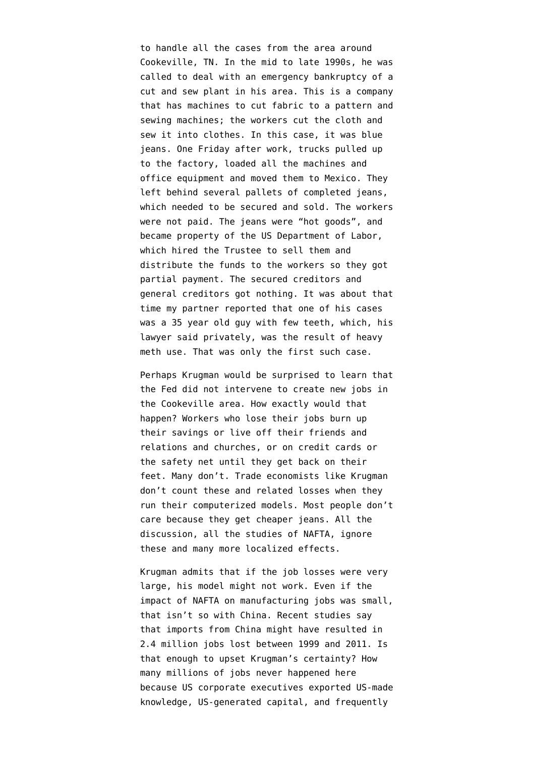to handle all the cases from the area around Cookeville, TN. In the mid to late 1990s, he was called to deal with an emergency bankruptcy of a cut and sew plant in his area. This is a company that has machines to cut fabric to a pattern and sewing machines; the workers cut the cloth and sew it into clothes. In this case, it was blue jeans. One Friday after work, trucks pulled up to the factory, loaded all the machines and office equipment and moved them to Mexico. They left behind several pallets of completed jeans, which needed to be secured and sold. The workers were not paid. The jeans were "hot goods", and became property of the US Department of Labor, which hired the Trustee to sell them and distribute the funds to the workers so they got partial payment. The secured creditors and general creditors got nothing. It was about that time my partner reported that one of his cases was a 35 year old guy with few teeth, which, his lawyer said privately, was the result of heavy meth use. That was only the first such case.

Perhaps Krugman would be surprised to learn that the Fed did not intervene to create new jobs in the Cookeville area. How exactly would that happen? Workers who lose their jobs burn up their savings or live off their friends and relations and churches, or on credit cards or the safety net until they get back on their feet. Many don't. Trade economists like Krugman don't count these and related losses when they run their computerized models. Most people don't care because they get cheaper jeans. All the discussion, all the studies of NAFTA, ignore these and many more localized effects.

Krugman admits that if the job losses were very large, his model might not work. Even if the impact of NAFTA on manufacturing jobs was small, that isn't so with China. Recent studies say that imports from China might have resulted in 2.4 million jobs lost between 1999 and 2011. Is that enough to upset Krugman's certainty? How many millions of jobs never happened here because US corporate executives exported US-made knowledge, US-generated capital, and frequently